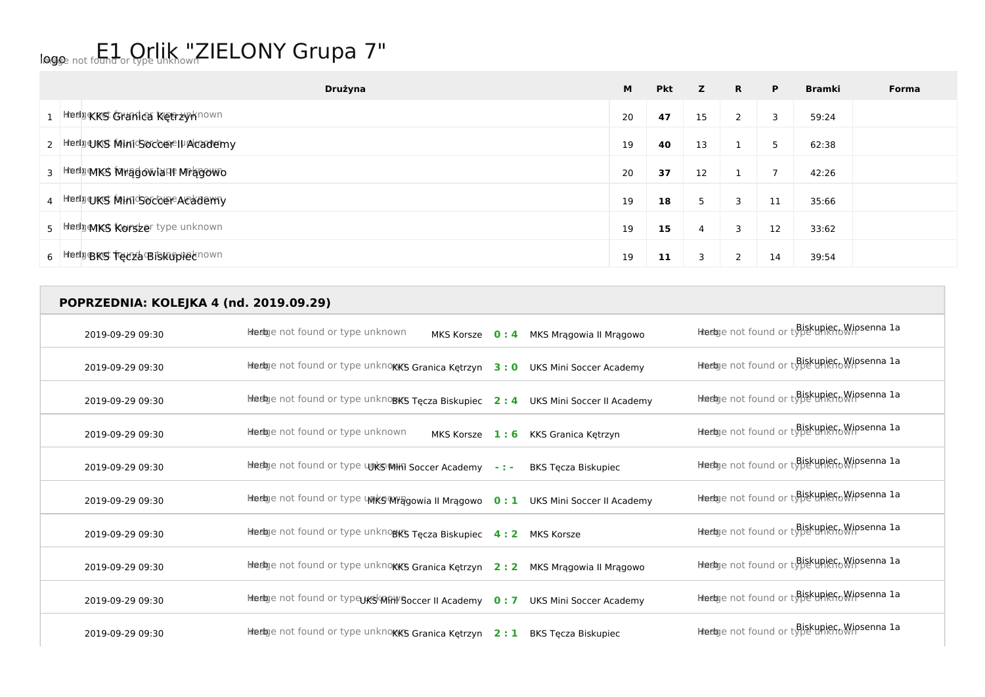## logo not found or type unknown ZIELONY Grupa 7"

| Drużyna                            | M  | <b>Pkt</b> | z  | <b>R</b>              | P. | <b>Bramki</b> | Forma |
|------------------------------------|----|------------|----|-----------------------|----|---------------|-------|
| 1 Hedpe KKS Granica Ketrzynhown    | 20 | 47         | 15 | $\mathbf{2}^{\prime}$ | 3  | 59:24         |       |
| 2 Hedge KS MINIG OCCOR I POCACHEDY | 19 | 40         | 13 |                       | 5  | 62:38         |       |
| 3 Hedge MKS Mundowiant Mragowo     | 20 | 37         | 12 |                       | 7  | 42:26         |       |
| 4 Heelgers MinicsocoeeAcademy      | 19 | 18         | 5  | 3                     | 11 | 35:66         |       |
| 5 Hedge MKS Korszer type unknown   | 19 | 15         | 4  | 3                     | 12 | 33:62         |       |
| 6 HedgeRS Tecza Biskupiecnown      | 19 | 11         | 3  |                       | 14 | 39:54         |       |

| POPRZEDNIA: KOLEJKA 4 (nd. 2019.09.29) |                                                                                      |                                              |
|----------------------------------------|--------------------------------------------------------------------------------------|----------------------------------------------|
| 2019-09-29 09:30                       | Heelge not found or type unknown<br>MKS Korsze 0:4 MKS Mragowia II Mragowo           | Hiedge not found or type uniero Wipsenna la  |
| 2019-09-29 09:30                       | Heelge not found or type unknows Granica Kętrzyn 3:0 UKS Mini Soccer Academy         | Hiedge not found or type unknownsenna la     |
| 2019-09-29 09:30                       | Heetoge not found or type unknows Tęcza Biskupiec 2: 4 UKS Mini Soccer II Academy    | Hiedge not found or type unicrowipsenna la   |
| 2019-09-29 09:30                       | Heelpe not found or type unknown<br>MKS Korsze 1:6<br>KKS Granica Ketrzyn            | Hiedge not found or type unicrowipsenna la   |
| 2019-09-29 09:30                       | Heelge not found or type unks Milli Soccer Academy -:-<br><b>BKS Tecza Biskupiec</b> | Heelge not found or type unicrowipsenna la   |
| 2019-09-29 09:30                       | Heebye not found or type unks MYagowia II Mragowo 0: 1 UKS Mini Soccer II Academy    | Heelge not found or type unicfollipsenna la  |
| 2019-09-29 09:30                       | Heelge not found or type unknows Tęcza Biskupiec 4: 2 MKS Korsze                     | Hiedge not found or type unknown osenna la   |
| 2019-09-29 09:30                       | Heetge not found or type unknokk's Granica Kętrzyn 2:2 MKS Mrągowia II Mrągowo       | Hiedge not found or type uniero Wipsenna la  |
| 2019-09-29 09:30                       | Heetoge not found or type UKS MAN Boccer II Academy 0:7 UKS Mini Soccer Academy      | Heelge not found or type unicrowipsenna la   |
| 2019-09-29 09:30                       | Heetoge not found or type unknokKS Granica Kętrzyn 2:1 BKS Tęcza Biskupiec           | Hiedaye not found or type unicro Wipsenna 1a |